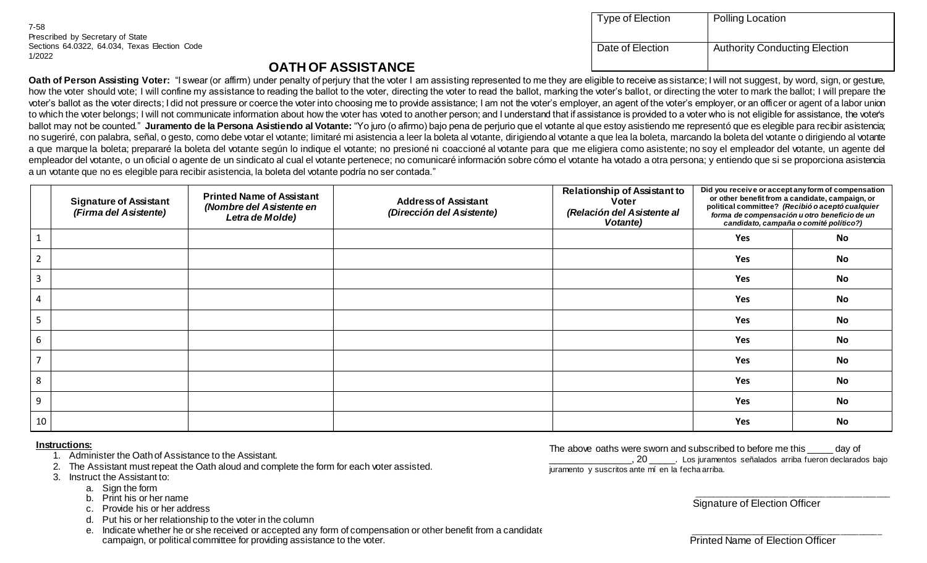| Type of Election | <b>Polling Location</b>              |
|------------------|--------------------------------------|
| Date of Election | <b>Authority Conducting Election</b> |

## **OATH OF ASSISTANCE**

Oath of Person Assisting Voter: "I swear (or affirm) under penalty of perjury that the voter I am assisting represented to me they are eligible to receive as sistance; I will not suggest, by word, sign, or gesture, how the voter should vote; I will confine my assistance to reading the ballot to the voter, directing the voter to read the ballot, marking the voter's ballot, or directing the voter to mark the ballot; I will prepare the voter's ballot as the voter directs; I did not pressure or coerce the voter into choosing me to provide assistance; I am not the voter's employer, an agent of the voter's employer, or an officer or agent of a labor union to which the voter belongs; I will not communicate information about how the voter has voted to another person; and I understand that if assistance is provided to a voter who is not eligible for assistance, the voter's ballot may not be counted." **Juramento de la Persona Asistiendo al Votante:** "Yo juro (o afirmo) bajo pena de perjurio que el votante al que estoy asistiendo me representó que es elegible para recibir asistencia; no sugeriré, con palabra, señal, o gesto, como debe votar el votante; limitaré mi asistencia a leer la boleta al votante, dirigiendo al votante a que lea la boleta, marcando la boleta del votante o dirigiendo al votante a que marque la boleta; prepararé la boleta del votante según lo indique el votante; no presioné ni coaccioné al votante para que me eligiera como asistente; no soy el empleador del votante, un agente del empleador del votante, o un oficial o agente de un sindicato al cual el votante pertenece; no comunicaré información sobre cómo el votante ha votado a otra persona; y entiendo que si se proporciona asistencia a un votante que no es elegible para recibir asistencia, la boleta del votante podría no ser contada."

|                | <b>Signature of Assistant</b><br>(Firma del Asistente) | <b>Printed Name of Assistant</b><br>(Nombre del Asistente en<br>Letra de Molde) | <b>Address of Assistant</b><br>(Dirección del Asistente) | <b>Relationship of Assistant to</b><br><b>Voter</b><br>(Relación del Asistente al<br>Votante) |     | Did you receive or accept any form of compensation<br>or other benefit from a candidate, campaign, or<br>political committee? (Recibió o aceptó cualquier<br>forma de compensación u otro beneficio de un<br>candidato, campaña o comité político?) |
|----------------|--------------------------------------------------------|---------------------------------------------------------------------------------|----------------------------------------------------------|-----------------------------------------------------------------------------------------------|-----|-----------------------------------------------------------------------------------------------------------------------------------------------------------------------------------------------------------------------------------------------------|
|                |                                                        |                                                                                 |                                                          |                                                                                               | Yes | No                                                                                                                                                                                                                                                  |
| $\overline{2}$ |                                                        |                                                                                 |                                                          |                                                                                               | Yes | <b>No</b>                                                                                                                                                                                                                                           |
| $\overline{3}$ |                                                        |                                                                                 |                                                          |                                                                                               | Yes | <b>No</b>                                                                                                                                                                                                                                           |
| 4              |                                                        |                                                                                 |                                                          |                                                                                               | Yes | <b>No</b>                                                                                                                                                                                                                                           |
| 5              |                                                        |                                                                                 |                                                          |                                                                                               | Yes | <b>No</b>                                                                                                                                                                                                                                           |
| 6              |                                                        |                                                                                 |                                                          |                                                                                               | Yes | <b>No</b>                                                                                                                                                                                                                                           |
| $\overline{7}$ |                                                        |                                                                                 |                                                          |                                                                                               | Yes | <b>No</b>                                                                                                                                                                                                                                           |
| 8              |                                                        |                                                                                 |                                                          |                                                                                               | Yes | <b>No</b>                                                                                                                                                                                                                                           |
| 9              |                                                        |                                                                                 |                                                          |                                                                                               | Yes | <b>No</b>                                                                                                                                                                                                                                           |
| 10             |                                                        |                                                                                 |                                                          |                                                                                               | Yes | <b>No</b>                                                                                                                                                                                                                                           |

## **Instructions:**

- 1. Administer the Oath of Assistance to the Assistant.
- 2. The Assistant must repeat the Oath aloud and complete the form for each voter assisted.
- 3. Instruct the Assistant to:
	- a. Sign the form
	- b. Print his or her name
	- c. Provide his or her address
	- d. Put his or her relationship to the voter in the column
	- e. Indicate whether he or she received or accepted any form of compensation or other benefit from a candidate campaign, or political committee for providing assistance to the voter.

The above oaths were sworn and subscribed to before me this equivor of the subscribed to before me this equivor \_\_\_\_\_\_\_\_\_\_\_\_\_\_\_\_, 20 \_\_\_\_\_. Los juramentos señalados arriba fueron declarados bajo juramento y suscritos ante mí en la fecha arriba.

Signature of Election Officer

\_\_\_\_\_\_\_\_\_\_\_\_\_\_\_\_\_\_\_\_\_\_\_\_\_\_\_\_\_\_\_\_\_\_\_\_\_\_\_\_\_\_\_